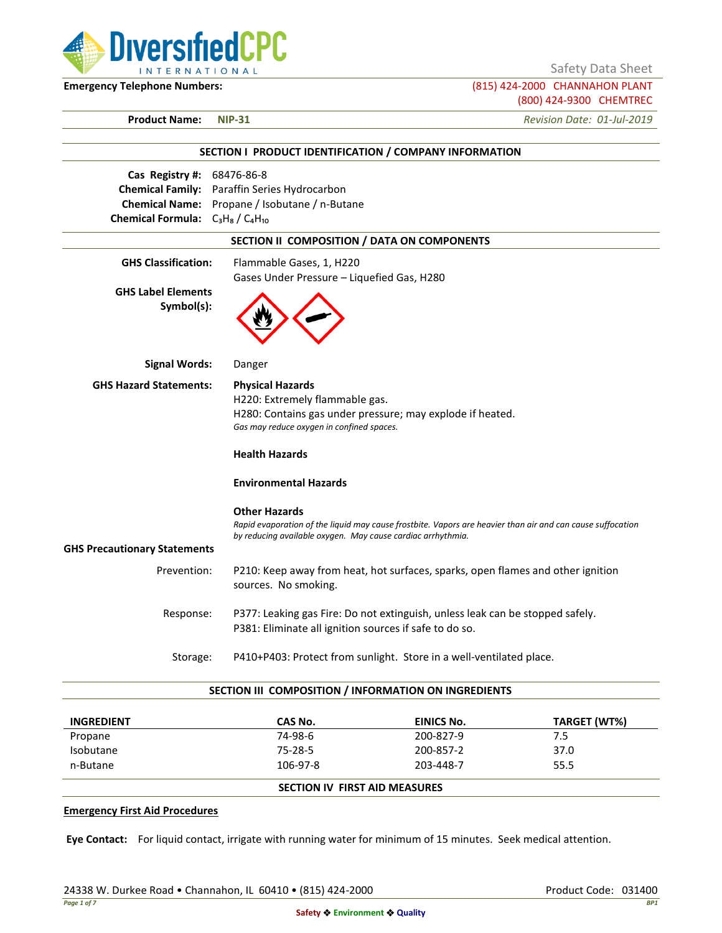**DiversifiedCPC INTERNATIONAL** 

Safety Data Sheet

**Emergency Telephone Numbers:** (815) 424-2000 CHANNAHON PLANT (800) 424-9300 CHEMTREC

**Product Name: NIP-31** *Revision Date: 01-Jul-2019*

|                                                                                                             | SECTION I PRODUCT IDENTIFICATION / COMPANY INFORMATION                                                                                                                                            |  |  |  |
|-------------------------------------------------------------------------------------------------------------|---------------------------------------------------------------------------------------------------------------------------------------------------------------------------------------------------|--|--|--|
| Cas Registry #:<br><b>Chemical Family:</b><br><b>Chemical Name:</b><br>Chemical Formula: $C_3H_8/C_4H_{10}$ | 68476-86-8<br>Paraffin Series Hydrocarbon<br>Propane / Isobutane / n-Butane                                                                                                                       |  |  |  |
| SECTION II COMPOSITION / DATA ON COMPONENTS                                                                 |                                                                                                                                                                                                   |  |  |  |
| <b>GHS Classification:</b><br><b>GHS Label Elements</b><br>Symbol(s):                                       | Flammable Gases, 1, H220<br>Gases Under Pressure - Liquefied Gas, H280                                                                                                                            |  |  |  |
| <b>Signal Words:</b>                                                                                        | Danger                                                                                                                                                                                            |  |  |  |
| <b>GHS Hazard Statements:</b>                                                                               | <b>Physical Hazards</b><br>H220: Extremely flammable gas.<br>H280: Contains gas under pressure; may explode if heated.<br>Gas may reduce oxygen in confined spaces.                               |  |  |  |
|                                                                                                             | <b>Health Hazards</b><br><b>Environmental Hazards</b>                                                                                                                                             |  |  |  |
|                                                                                                             | <b>Other Hazards</b><br>Rapid evaporation of the liquid may cause frostbite. Vapors are heavier than air and can cause suffocation<br>by reducing available oxygen. May cause cardiac arrhythmia. |  |  |  |
| <b>GHS Precautionary Statements</b>                                                                         |                                                                                                                                                                                                   |  |  |  |
| Prevention:                                                                                                 | P210: Keep away from heat, hot surfaces, sparks, open flames and other ignition<br>sources. No smoking.                                                                                           |  |  |  |
| Response:                                                                                                   | P377: Leaking gas Fire: Do not extinguish, unless leak can be stopped safely.<br>P381: Eliminate all ignition sources if safe to do so.                                                           |  |  |  |
| Storage:                                                                                                    | P410+P403: Protect from sunlight. Store in a well-ventilated place.                                                                                                                               |  |  |  |

### **SECTION III COMPOSITION / INFORMATION ON INGREDIENTS**

| <b>INGREDIENT</b> | CAS No.  | EINICS No.                           | TARGET (WT%) |  |
|-------------------|----------|--------------------------------------|--------------|--|
| Propane           | 74-98-6  | 200-827-9                            | 7.5          |  |
| Isobutane         | 75-28-5  | 200-857-2                            | 37.0         |  |
| n-Butane          | 106-97-8 | 203-448-7                            | 55.5         |  |
|                   |          | <b>SECTION IV FIRST AID MEASURES</b> |              |  |

#### **Emergency First Aid Procedures**

**Eye Contact:** For liquid contact, irrigate with running water for minimum of 15 minutes. Seek medical attention.

24338 W. Durkee Road • Channahon, IL 60410 • (815) 424-2000 Product Code: 031400 Product Code: 031400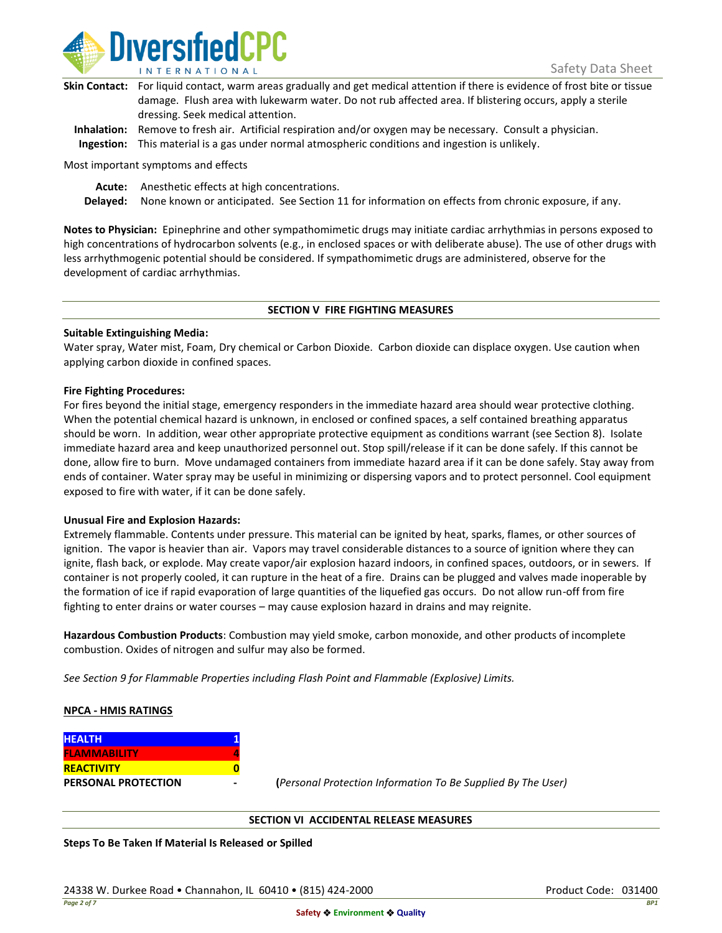

| Skin Contact: For liquid contact, warm areas gradually and get medical attention if there is evidence of frost bite or tissue |
|-------------------------------------------------------------------------------------------------------------------------------|
| damage. Flush area with lukewarm water. Do not rub affected area. If blistering occurs, apply a sterile                       |
| dressing. Seek medical attention.                                                                                             |
|                                                                                                                               |

**Inhalation:** Remove to fresh air. Artificial respiration and/or oxygen may be necessary. Consult a physician. **Ingestion:** This material is a gas under normal atmospheric conditions and ingestion is unlikely.

Most important symptoms and effects

**Acute:** Anesthetic effects at high concentrations.

**Delayed:** None known or anticipated. See Section 11 for information on effects from chronic exposure, if any.

**Notes to Physician:** Epinephrine and other sympathomimetic drugs may initiate cardiac arrhythmias in persons exposed to high concentrations of hydrocarbon solvents (e.g., in enclosed spaces or with deliberate abuse). The use of other drugs with less arrhythmogenic potential should be considered. If sympathomimetic drugs are administered, observe for the development of cardiac arrhythmias.

## **SECTION V FIRE FIGHTING MEASURES**

## **Suitable Extinguishing Media:**

Water spray, Water mist, Foam, Dry chemical or Carbon Dioxide. Carbon dioxide can displace oxygen. Use caution when applying carbon dioxide in confined spaces.

## **Fire Fighting Procedures:**

For fires beyond the initial stage, emergency responders in the immediate hazard area should wear protective clothing. When the potential chemical hazard is unknown, in enclosed or confined spaces, a self contained breathing apparatus should be worn. In addition, wear other appropriate protective equipment as conditions warrant (see Section 8). Isolate immediate hazard area and keep unauthorized personnel out. Stop spill/release if it can be done safely. If this cannot be done, allow fire to burn. Move undamaged containers from immediate hazard area if it can be done safely. Stay away from ends of container. Water spray may be useful in minimizing or dispersing vapors and to protect personnel. Cool equipment exposed to fire with water, if it can be done safely.

## **Unusual Fire and Explosion Hazards:**

Extremely flammable. Contents under pressure. This material can be ignited by heat, sparks, flames, or other sources of ignition. The vapor is heavier than air. Vapors may travel considerable distances to a source of ignition where they can ignite, flash back, or explode. May create vapor/air explosion hazard indoors, in confined spaces, outdoors, or in sewers. If container is not properly cooled, it can rupture in the heat of a fire. Drains can be plugged and valves made inoperable by the formation of ice if rapid evaporation of large quantities of the liquefied gas occurs. Do not allow run-off from fire fighting to enter drains or water courses – may cause explosion hazard in drains and may reignite.

**Hazardous Combustion Products**: Combustion may yield smoke, carbon monoxide, and other products of incomplete combustion. Oxides of nitrogen and sulfur may also be formed.

*See Section 9 for Flammable Properties including Flash Point and Flammable (Explosive) Limits.*

## **NPCA - HMIS RATINGS**

| <b>HEALTH</b>              |  |
|----------------------------|--|
| <b>FLAMMABILITY</b>        |  |
| <b>REACTIVITY</b>          |  |
| <b>PERSONAL PROTECTION</b> |  |

**PERSONAL PROTECTION - (***Personal Protection Information To Be Supplied By The User)*

## **SECTION VI ACCIDENTAL RELEASE MEASURES**

**Steps To Be Taken If Material Is Released or Spilled**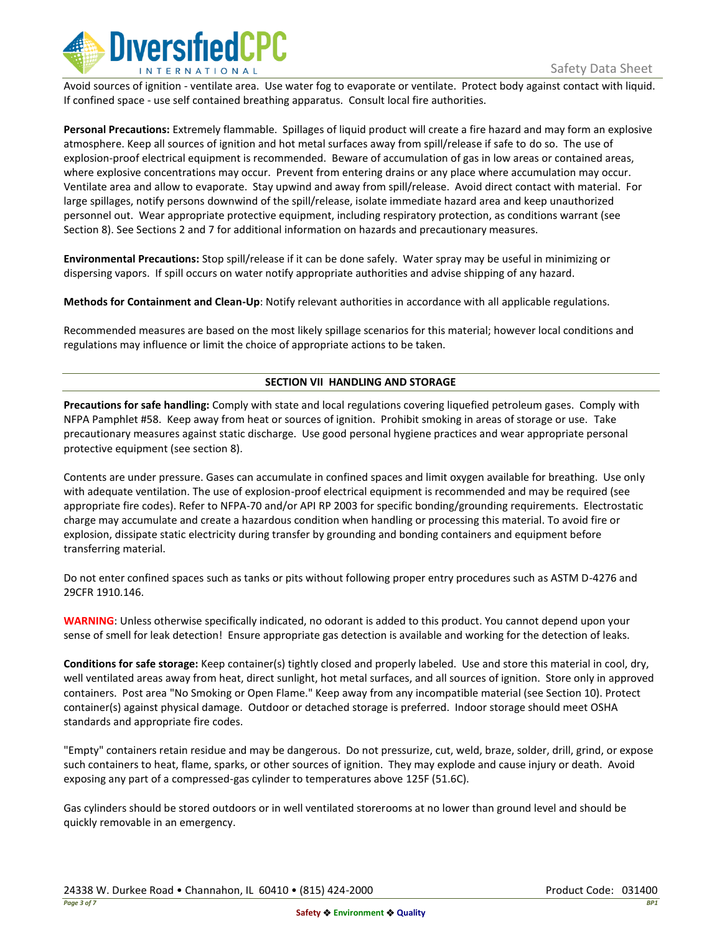

Avoid sources of ignition - ventilate area. Use water fog to evaporate or ventilate. Protect body against contact with liquid. If confined space - use self contained breathing apparatus. Consult local fire authorities.

**Personal Precautions:** Extremely flammable. Spillages of liquid product will create a fire hazard and may form an explosive atmosphere. Keep all sources of ignition and hot metal surfaces away from spill/release if safe to do so. The use of explosion-proof electrical equipment is recommended. Beware of accumulation of gas in low areas or contained areas, where explosive concentrations may occur. Prevent from entering drains or any place where accumulation may occur. Ventilate area and allow to evaporate. Stay upwind and away from spill/release. Avoid direct contact with material. For large spillages, notify persons downwind of the spill/release, isolate immediate hazard area and keep unauthorized personnel out. Wear appropriate protective equipment, including respiratory protection, as conditions warrant (see Section 8). See Sections 2 and 7 for additional information on hazards and precautionary measures.

**Environmental Precautions:** Stop spill/release if it can be done safely. Water spray may be useful in minimizing or dispersing vapors. If spill occurs on water notify appropriate authorities and advise shipping of any hazard.

**Methods for Containment and Clean-Up**: Notify relevant authorities in accordance with all applicable regulations.

Recommended measures are based on the most likely spillage scenarios for this material; however local conditions and regulations may influence or limit the choice of appropriate actions to be taken.

# **SECTION VII HANDLING AND STORAGE**

**Precautions for safe handling:** Comply with state and local regulations covering liquefied petroleum gases. Comply with NFPA Pamphlet #58. Keep away from heat or sources of ignition. Prohibit smoking in areas of storage or use. Take precautionary measures against static discharge. Use good personal hygiene practices and wear appropriate personal protective equipment (see section 8).

Contents are under pressure. Gases can accumulate in confined spaces and limit oxygen available for breathing. Use only with adequate ventilation. The use of explosion-proof electrical equipment is recommended and may be required (see appropriate fire codes). Refer to NFPA-70 and/or API RP 2003 for specific bonding/grounding requirements. Electrostatic charge may accumulate and create a hazardous condition when handling or processing this material. To avoid fire or explosion, dissipate static electricity during transfer by grounding and bonding containers and equipment before transferring material.

Do not enter confined spaces such as tanks or pits without following proper entry procedures such as ASTM D-4276 and 29CFR 1910.146.

**WARNING**: Unless otherwise specifically indicated, no odorant is added to this product. You cannot depend upon your sense of smell for leak detection! Ensure appropriate gas detection is available and working for the detection of leaks.

**Conditions for safe storage:** Keep container(s) tightly closed and properly labeled. Use and store this material in cool, dry, well ventilated areas away from heat, direct sunlight, hot metal surfaces, and all sources of ignition. Store only in approved containers. Post area "No Smoking or Open Flame." Keep away from any incompatible material (see Section 10). Protect container(s) against physical damage. Outdoor or detached storage is preferred. Indoor storage should meet OSHA standards and appropriate fire codes.

"Empty" containers retain residue and may be dangerous. Do not pressurize, cut, weld, braze, solder, drill, grind, or expose such containers to heat, flame, sparks, or other sources of ignition. They may explode and cause injury or death. Avoid exposing any part of a compressed-gas cylinder to temperatures above 125F (51.6C).

Gas cylinders should be stored outdoors or in well ventilated storerooms at no lower than ground level and should be quickly removable in an emergency.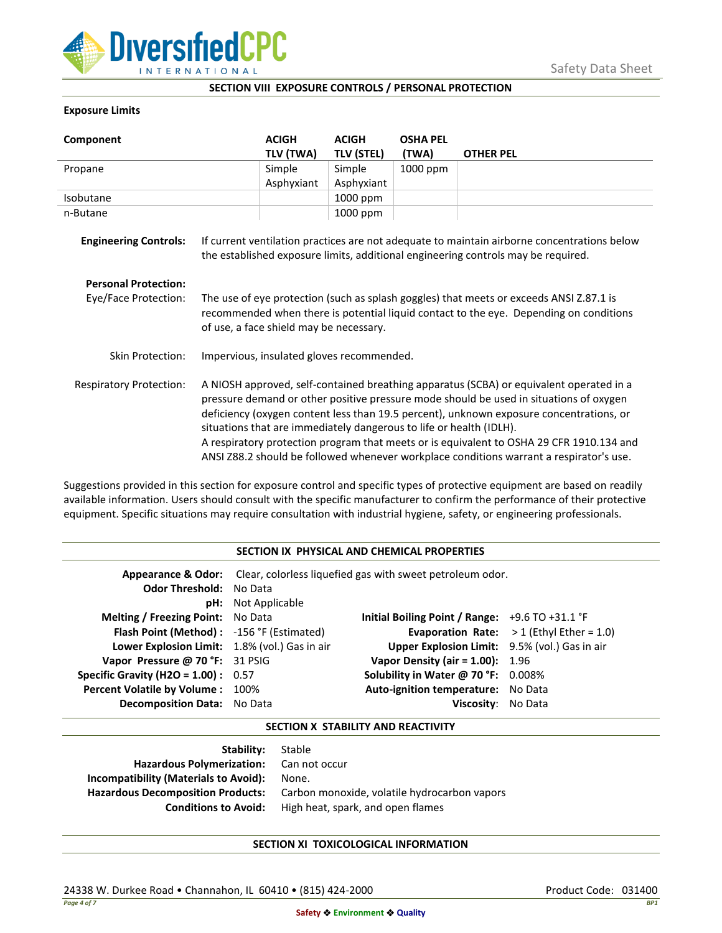

## **SECTION VIII EXPOSURE CONTROLS / PERSONAL PROTECTION**

## **Exposure Limits**

| Component                      |                                                                                                                                                                                                                                                                                                                                                                                                                                                                                                                                            | <b>ACIGH</b> | <b>ACIGH</b>      | <b>OSHA PEL</b> |                                                                                                                                                                                  |
|--------------------------------|--------------------------------------------------------------------------------------------------------------------------------------------------------------------------------------------------------------------------------------------------------------------------------------------------------------------------------------------------------------------------------------------------------------------------------------------------------------------------------------------------------------------------------------------|--------------|-------------------|-----------------|----------------------------------------------------------------------------------------------------------------------------------------------------------------------------------|
|                                |                                                                                                                                                                                                                                                                                                                                                                                                                                                                                                                                            | TLV (TWA)    | <b>TLV (STEL)</b> | (TWA)           | <b>OTHER PEL</b>                                                                                                                                                                 |
| Propane                        |                                                                                                                                                                                                                                                                                                                                                                                                                                                                                                                                            | Simple       | Simple            | 1000 ppm        |                                                                                                                                                                                  |
|                                |                                                                                                                                                                                                                                                                                                                                                                                                                                                                                                                                            | Asphyxiant   | Asphyxiant        |                 |                                                                                                                                                                                  |
| Isobutane                      |                                                                                                                                                                                                                                                                                                                                                                                                                                                                                                                                            |              | 1000 ppm          |                 |                                                                                                                                                                                  |
| n-Butane                       |                                                                                                                                                                                                                                                                                                                                                                                                                                                                                                                                            |              | 1000 ppm          |                 |                                                                                                                                                                                  |
| <b>Engineering Controls:</b>   |                                                                                                                                                                                                                                                                                                                                                                                                                                                                                                                                            |              |                   |                 | If current ventilation practices are not adequate to maintain airborne concentrations below<br>the established exposure limits, additional engineering controls may be required. |
| <b>Personal Protection:</b>    |                                                                                                                                                                                                                                                                                                                                                                                                                                                                                                                                            |              |                   |                 |                                                                                                                                                                                  |
| Eye/Face Protection:           | The use of eye protection (such as splash goggles) that meets or exceeds ANSI Z.87.1 is<br>recommended when there is potential liquid contact to the eye. Depending on conditions<br>of use, a face shield may be necessary.                                                                                                                                                                                                                                                                                                               |              |                   |                 |                                                                                                                                                                                  |
| <b>Skin Protection:</b>        | Impervious, insulated gloves recommended.                                                                                                                                                                                                                                                                                                                                                                                                                                                                                                  |              |                   |                 |                                                                                                                                                                                  |
| <b>Respiratory Protection:</b> | A NIOSH approved, self-contained breathing apparatus (SCBA) or equivalent operated in a<br>pressure demand or other positive pressure mode should be used in situations of oxygen<br>deficiency (oxygen content less than 19.5 percent), unknown exposure concentrations, or<br>situations that are immediately dangerous to life or health (IDLH).<br>A respiratory protection program that meets or is equivalent to OSHA 29 CFR 1910.134 and<br>ANSI Z88.2 should be followed whenever workplace conditions warrant a respirator's use. |              |                   |                 |                                                                                                                                                                                  |

Suggestions provided in this section for exposure control and specific types of protective equipment are based on readily available information. Users should consult with the specific manufacturer to confirm the performance of their protective equipment. Specific situations may require consultation with industrial hygiene, safety, or engineering professionals.

### **SECTION IX PHYSICAL AND CHEMICAL PROPERTIES**

| <b>Odor Threshold: No Data</b>                | <b>pH:</b> Not Applicable | Appearance & Odor: Clear, colorless liquefied gas with sweet petroleum odor. |                                                   |
|-----------------------------------------------|---------------------------|------------------------------------------------------------------------------|---------------------------------------------------|
| <b>Melting / Freezing Point:</b> No Data      |                           | Initial Boiling Point / Range: $+9.6$ TO $+31.1$ °F                          |                                                   |
| Flash Point (Method): -156 °F (Estimated)     |                           |                                                                              | <b>Evaporation Rate:</b> $>1$ (Ethyl Ether = 1.0) |
| Lower Explosion Limit: 1.8% (vol.) Gas in air |                           | Upper Explosion Limit: 9.5% (vol.) Gas in air                                |                                                   |
| Vapor Pressure @ 70 °F: 31 PSIG               |                           | Vapor Density (air = $1.00$ ): $1.96$                                        |                                                   |
| <b>Specific Gravity (H2O = 1.00):</b> $0.57$  |                           | Solubility in Water @ 70 °F: 0.008%                                          |                                                   |
| Percent Volatile by Volume: 100%              |                           | Auto-ignition temperature: No Data                                           |                                                   |
| <b>Decomposition Data:</b> No Data            |                           | Viscosity: No Data                                                           |                                                   |

### **SECTION X STABILITY AND REACTIVITY**

| <b>Stability:</b> Stable                     |
|----------------------------------------------|
| Hazardous Polymerization: Can not occur      |
| None.                                        |
| Carbon monoxide, volatile hydrocarbon vapors |
| High heat, spark, and open flames            |
|                                              |

# **SECTION XI TOXICOLOGICAL INFORMATION**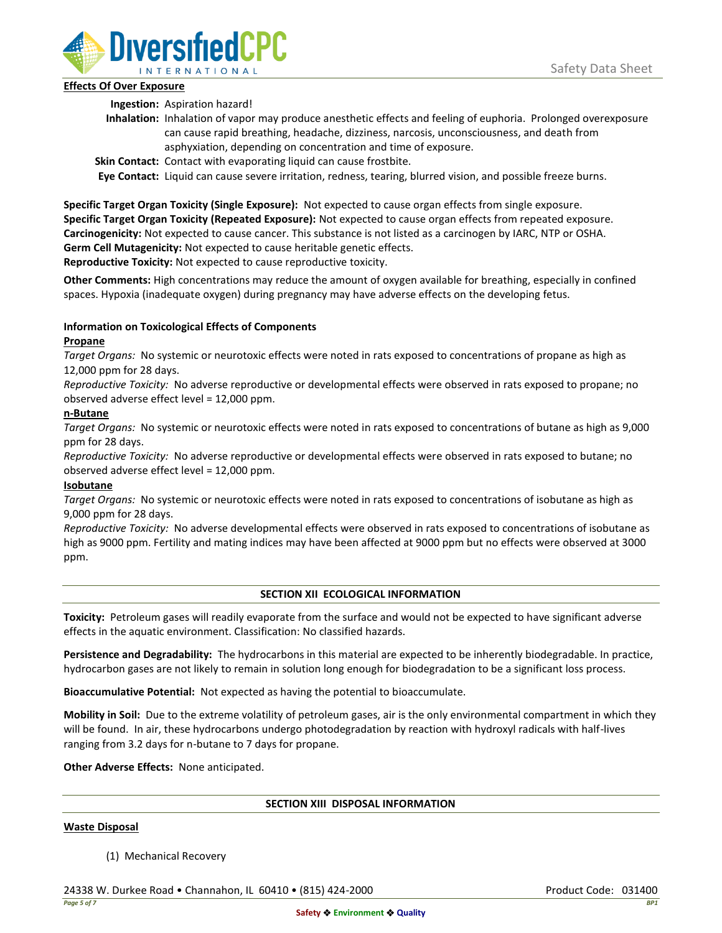

# **Effects Of Over Exposure**

**Ingestion:** Aspiration hazard!

- **Inhalation:** Inhalation of vapor may produce anesthetic effects and feeling of euphoria. Prolonged overexposure can cause rapid breathing, headache, dizziness, narcosis, unconsciousness, and death from asphyxiation, depending on concentration and time of exposure.
- **Skin Contact:** Contact with evaporating liquid can cause frostbite.

**Eye Contact:** Liquid can cause severe irritation, redness, tearing, blurred vision, and possible freeze burns.

**Specific Target Organ Toxicity (Single Exposure):** Not expected to cause organ effects from single exposure. **Specific Target Organ Toxicity (Repeated Exposure):** Not expected to cause organ effects from repeated exposure. **Carcinogenicity:** Not expected to cause cancer. This substance is not listed as a carcinogen by IARC, NTP or OSHA. **Germ Cell Mutagenicity:** Not expected to cause heritable genetic effects.

**Reproductive Toxicity:** Not expected to cause reproductive toxicity.

**Other Comments:** High concentrations may reduce the amount of oxygen available for breathing, especially in confined spaces. Hypoxia (inadequate oxygen) during pregnancy may have adverse effects on the developing fetus.

# **Information on Toxicological Effects of Components**

# **Propane**

*Target Organs:* No systemic or neurotoxic effects were noted in rats exposed to concentrations of propane as high as 12,000 ppm for 28 days.

*Reproductive Toxicity:* No adverse reproductive or developmental effects were observed in rats exposed to propane; no observed adverse effect level = 12,000 ppm.

# **n-Butane**

*Target Organs:* No systemic or neurotoxic effects were noted in rats exposed to concentrations of butane as high as 9,000 ppm for 28 days.

*Reproductive Toxicity:* No adverse reproductive or developmental effects were observed in rats exposed to butane; no observed adverse effect level = 12,000 ppm.

# **Isobutane**

*Target Organs:* No systemic or neurotoxic effects were noted in rats exposed to concentrations of isobutane as high as 9,000 ppm for 28 days.

*Reproductive Toxicity:* No adverse developmental effects were observed in rats exposed to concentrations of isobutane as high as 9000 ppm. Fertility and mating indices may have been affected at 9000 ppm but no effects were observed at 3000 ppm.

# **SECTION XII ECOLOGICAL INFORMATION**

**Toxicity:** Petroleum gases will readily evaporate from the surface and would not be expected to have significant adverse effects in the aquatic environment. Classification: No classified hazards.

**Persistence and Degradability:** The hydrocarbons in this material are expected to be inherently biodegradable. In practice, hydrocarbon gases are not likely to remain in solution long enough for biodegradation to be a significant loss process.

**Bioaccumulative Potential:** Not expected as having the potential to bioaccumulate.

**Mobility in Soil:** Due to the extreme volatility of petroleum gases, air is the only environmental compartment in which they will be found. In air, these hydrocarbons undergo photodegradation by reaction with hydroxyl radicals with half-lives ranging from 3.2 days for n-butane to 7 days for propane.

**Other Adverse Effects:** None anticipated.

## **SECTION XIII DISPOSAL INFORMATION**

## **Waste Disposal**

(1) Mechanical Recovery

24338 W. Durkee Road • Channahon, IL 60410 • (815) 424-2000 Product Code: 031400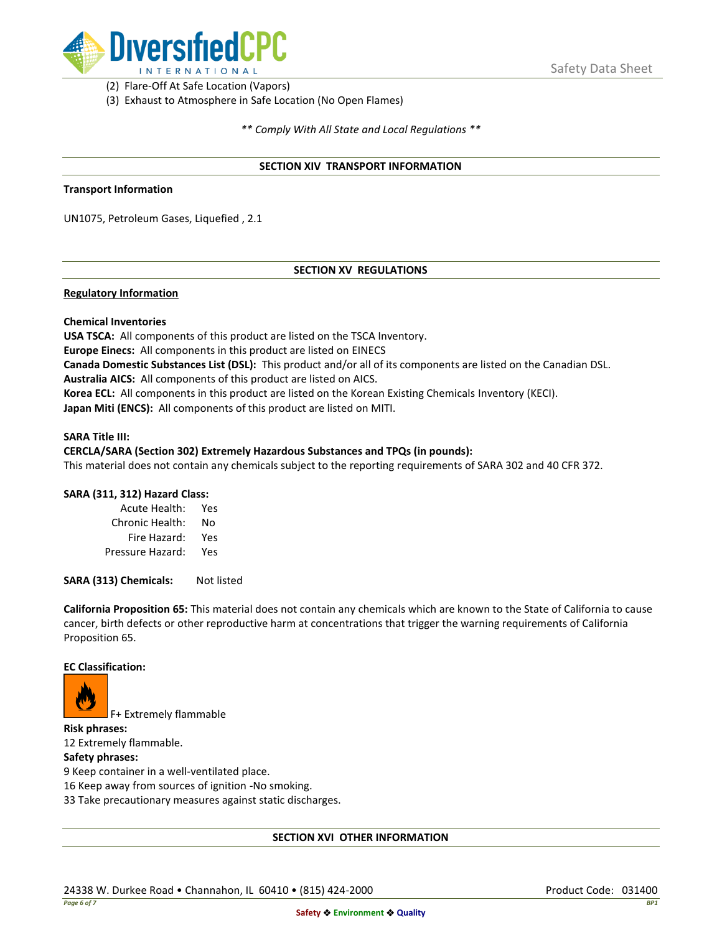

(2) Flare-Off At Safe Location (Vapors)

(3) Exhaust to Atmosphere in Safe Location (No Open Flames)

*\*\* Comply With All State and Local Regulations \*\**

## **SECTION XIV TRANSPORT INFORMATION**

### **Transport Information**

UN1075, Petroleum Gases, Liquefied , 2.1

# **SECTION XV REGULATIONS**

## **Regulatory Information**

## **Chemical Inventories**

**USA TSCA:** All components of this product are listed on the TSCA Inventory. **Europe Einecs:** All components in this product are listed on EINECS **Canada Domestic Substances List (DSL):** This product and/or all of its components are listed on the Canadian DSL. **Australia AICS:** All components of this product are listed on AICS. **Korea ECL:** All components in this product are listed on the Korean Existing Chemicals Inventory (KECI). **Japan Miti (ENCS):** All components of this product are listed on MITI.

### **SARA Title III:**

## **CERCLA/SARA (Section 302) Extremely Hazardous Substances and TPQs (in pounds):**

This material does not contain any chemicals subject to the reporting requirements of SARA 302 and 40 CFR 372.

## **SARA (311, 312) Hazard Class:**

| Acute Health:    | Yes |
|------------------|-----|
| Chronic Health:  | No  |
| Fire Hazard:     | Yes |
| Pressure Hazard: | Yes |

**SARA (313) Chemicals:** Not listed

**California Proposition 65:** This material does not contain any chemicals which are known to the State of California to cause cancer, birth defects or other reproductive harm at concentrations that trigger the warning requirements of California Proposition 65.

### **EC Classification:**



F+ Extremely flammable

**Risk phrases:** 12 Extremely flammable.

## **Safety phrases:**

9 Keep container in a well-ventilated place.

16 Keep away from sources of ignition -No smoking.

33 Take precautionary measures against static discharges.

## **SECTION XVI OTHER INFORMATION**